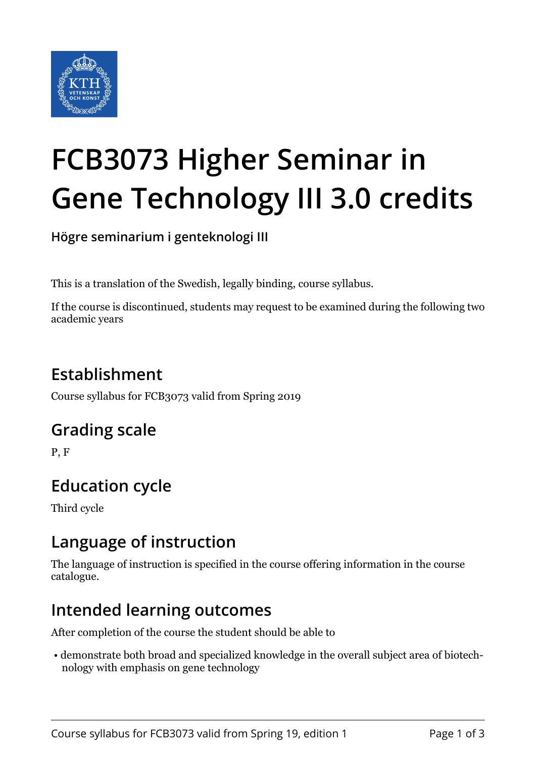

# **FCB3073 Higher Seminar in Gene Technology III 3.0 credits**

**Högre seminarium i genteknologi III**

This is a translation of the Swedish, legally binding, course syllabus.

If the course is discontinued, students may request to be examined during the following two academic years

# **Establishment**

Course syllabus for FCB3073 valid from Spring 2019

#### **Grading scale**

P, F

# **Education cycle**

Third cycle

#### **Language of instruction**

The language of instruction is specified in the course offering information in the course catalogue.

#### **Intended learning outcomes**

After completion of the course the student should be able to

 • demonstrate both broad and specialized knowledge in the overall subject area of biotechnology with emphasis on gene technology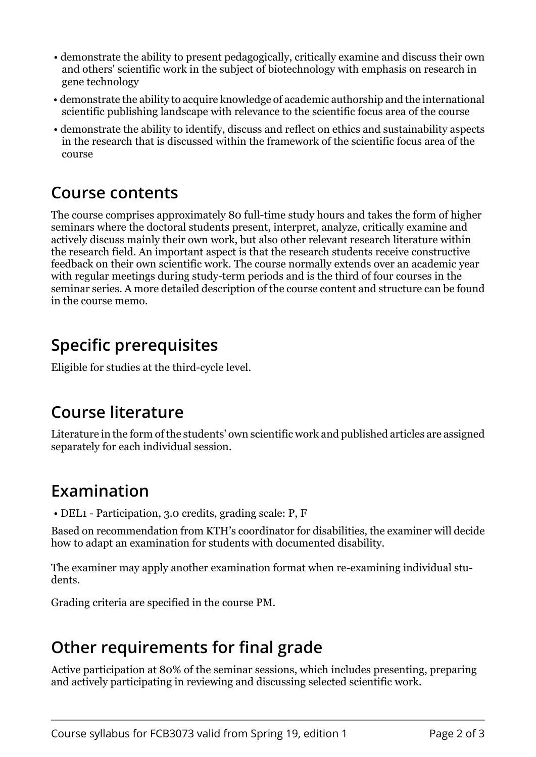- demonstrate the ability to present pedagogically, critically examine and discuss their own and others' scientific work in the subject of biotechnology with emphasis on research in gene technology
- demonstrate the ability to acquire knowledge of academic authorship and the international scientific publishing landscape with relevance to the scientific focus area of the course
- demonstrate the ability to identify, discuss and reflect on ethics and sustainability aspects in the research that is discussed within the framework of the scientific focus area of the course

#### **Course contents**

The course comprises approximately 80 full-time study hours and takes the form of higher seminars where the doctoral students present, interpret, analyze, critically examine and actively discuss mainly their own work, but also other relevant research literature within the research field. An important aspect is that the research students receive constructive feedback on their own scientific work. The course normally extends over an academic year with regular meetings during study-term periods and is the third of four courses in the seminar series. A more detailed description of the course content and structure can be found in the course memo.

### **Specific prerequisites**

Eligible for studies at the third-cycle level.

#### **Course literature**

Literature in the form of the students' own scientific work and published articles are assigned separately for each individual session.

# **Examination**

• DEL1 - Participation, 3.0 credits, grading scale: P, F

Based on recommendation from KTH's coordinator for disabilities, the examiner will decide how to adapt an examination for students with documented disability.

The examiner may apply another examination format when re-examining individual students.

Grading criteria are specified in the course PM.

# **Other requirements for final grade**

Active participation at 80% of the seminar sessions, which includes presenting, preparing and actively participating in reviewing and discussing selected scientific work.